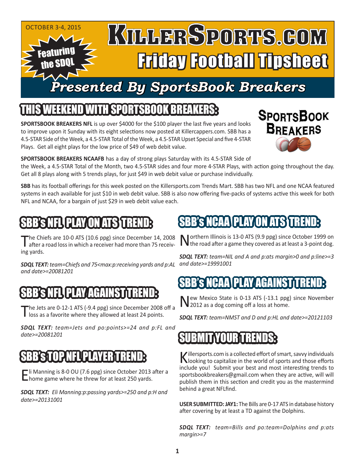#### OCTOBER 3-4, 2015 KULLERSPORTS.GOM Featuring Friday Football Tipsheet the SDQL *Presented By SportsBook Breakers*

### IEEKEND WITH SPORTSBOOK BREAKER

**SPORTSBOOK BREAKERS NFL** is up over \$4000 for the \$100 player the last five years and looks to improve upon it Sunday with its eight selections now posted at Killercappers.com. SBB has a 4.5-STAR Side of the Week, a 4.5-STAR Total of the Week, a 4.5-STAR Upset Special and five 4-STAR Plays. Get all eight plays for the low price of \$49 of web debit value.



**SPORTSBOOK BREAKERS NCAAFB** has a day of strong plays Saturday with its 4.5-STAR Side of the Week, a 4.5-STAR Total of the Month, two 4.5-STAR sides and four more 4-STAR Plays, with action going throughout the day. Get all 8 plays along with 5 trends plays, for just \$49 in web debit value or purchase individually.

**SBB** has its football offerings for this week posted on the Killersports.com Trends Mart. SBB has two NFL and one NCAA featured systems in each available for just \$10 in web debit value. SBB is also now offering five-packs of systems active this week for both NFL and NCAA, for a bargain of just \$29 in web debit value each.

# 'S NFL PLAY ON ATS <del>t</del>

The Chiefs are 10-0 ATS (10.6 ppg) since December 14, 2008 after a road loss in which a receiver had more than 75 receiving yards.

*and date>=19991001 SDQL TEXT: team=Chiefs and 75<max:p:receiving yards and p:AL and date>=20081201* 

# B's NFLI PLAY AGAINST T

The Jets are 0-12-1 ATS (-9.4 ppg) since December 2008 off a loss as a favorite where they allowed at least 24 points.

*SDQL TEXT: team=Jets and po:points>=24 and p:FL and date>=20081201*

### STOP NELPLAYE

Eli Manning is 8-0 OU (7.6 ppg) since October 2013 after a<br>
Linome game where he threw for at least 250 yards.

*SDQL TEXT: Eli Manning:p:passing yards>=250 and p:H and date>=20131001*

### **BB's NCAA PLAY ON ATS TREN**

Northern Illinois is 13-0 ATS (9.9 ppg) since October 1999 on  $\blacksquare$  The road after a game they covered as at least a 3-point dog.

*SDQL TEXT: team=NIL and A and p:ats margin>0 and p:line>=3* 

### 'NCAA'| PLAY AGAINST

New Mexico State is 0-13 ATS (-13.1 ppg) since November 2012 as a dog coming off a loss at home.

*SDQL TEXT: team=NMST and D and p:HL and date>=20121103*

# SUBMIT YOUR TRENDS:

Killersports.com is a collected effort of smart, savvy individuals looking to capitalize in the world of sports and those efforts include you! Submit your best and most interesting trends to sportsbookbreakers@gmail.com when they are active, will will publish them in this section and credit you as the mastermind behind a great NFLfind.

**USER SUBMITTED: JAY1:** The Bills are 0-17 ATS in database history after covering by at least a TD against the Dolphins.

*SDQL TEXT: team=Bills and po:team=Dolphins and p:ats margin>=7*